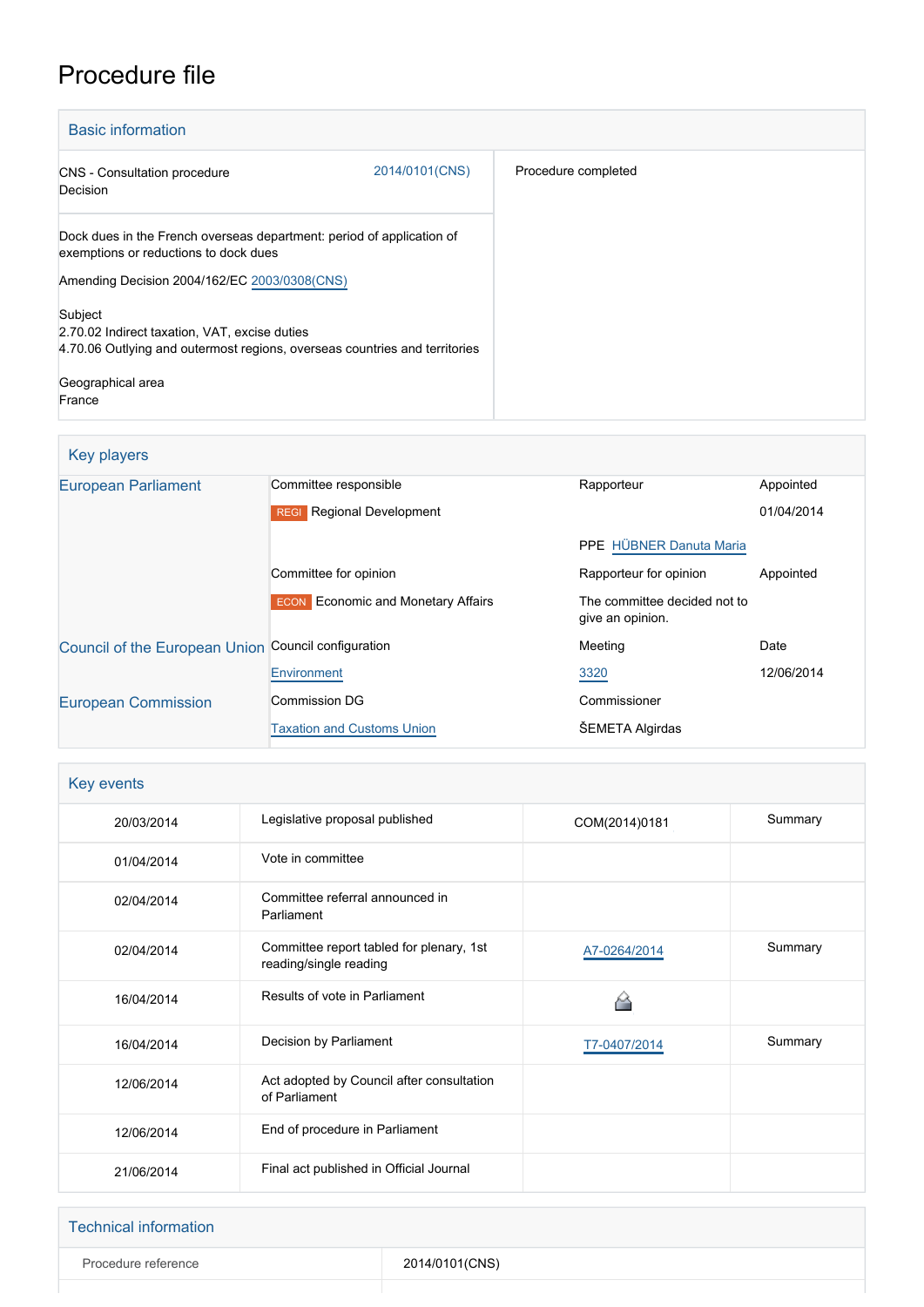# Procedure file

| <b>Basic information</b>                                                                                                               |                |                     |
|----------------------------------------------------------------------------------------------------------------------------------------|----------------|---------------------|
| CNS - Consultation procedure<br>Decision                                                                                               | 2014/0101(CNS) | Procedure completed |
| Dock dues in the French overseas department: period of application of<br>exemptions or reductions to dock dues                         |                |                     |
| Amending Decision 2004/162/EC 2003/0308(CNS)                                                                                           |                |                     |
| Subject<br>2.70.02 Indirect taxation, VAT, excise duties<br>4.70.06 Outlying and outermost regions, overseas countries and territories |                |                     |
| Geographical area<br>France                                                                                                            |                |                     |

## Key players

| <b>European Parliament</b>    | Committee responsible                      | Rapporteur                                       | Appointed  |
|-------------------------------|--------------------------------------------|--------------------------------------------------|------------|
|                               | <b>Regional Development</b><br><b>REGI</b> |                                                  | 01/04/2014 |
|                               |                                            | <b>PPE</b> HÜBNER Danuta Maria                   |            |
|                               | Committee for opinion                      | Rapporteur for opinion                           | Appointed  |
|                               | <b>ECON</b> Economic and Monetary Affairs  | The committee decided not to<br>give an opinion. |            |
| Council of the European Union | Council configuration                      | Meeting                                          | Date       |
|                               | Environment                                | 3320                                             | 12/06/2014 |
| <b>European Commission</b>    | Commission DG                              | Commissioner                                     |            |
|                               | <b>Taxation and Customs Union</b>          | ŠEMETA Algirdas                                  |            |

| Key events |                                                                    |               |         |
|------------|--------------------------------------------------------------------|---------------|---------|
| 20/03/2014 | Legislative proposal published                                     | COM(2014)0181 | Summary |
| 01/04/2014 | Vote in committee                                                  |               |         |
| 02/04/2014 | Committee referral announced in<br>Parliament                      |               |         |
| 02/04/2014 | Committee report tabled for plenary, 1st<br>reading/single reading | A7-0264/2014  | Summary |
| 16/04/2014 | Results of vote in Parliament                                      |               |         |
| 16/04/2014 | Decision by Parliament                                             | T7-0407/2014  | Summary |
| 12/06/2014 | Act adopted by Council after consultation<br>of Parliament         |               |         |
| 12/06/2014 | End of procedure in Parliament                                     |               |         |
| 21/06/2014 | Final act published in Official Journal                            |               |         |

| Technical information |                |
|-----------------------|----------------|
| Procedure reference   | 2014/0101(CNS) |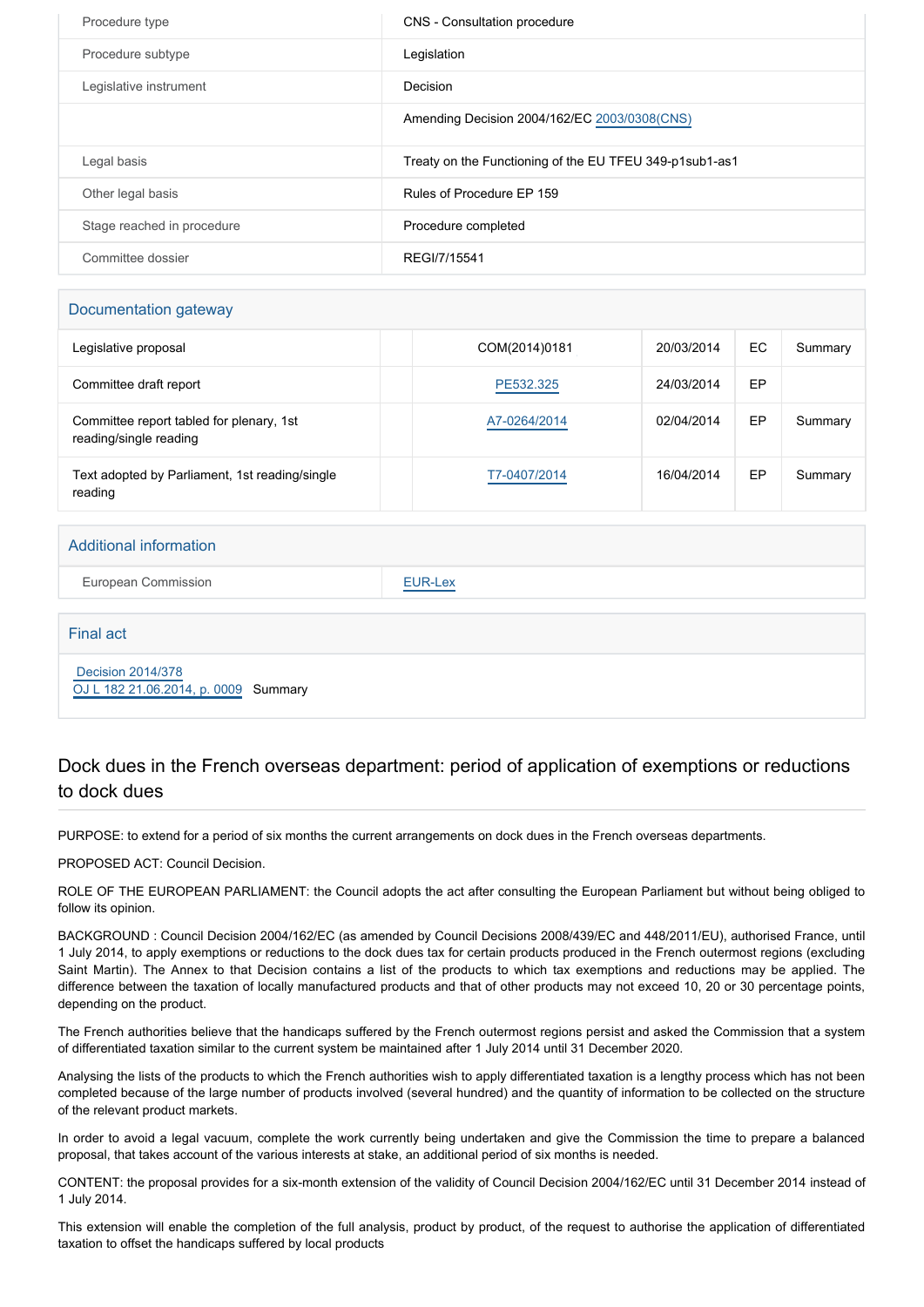| Procedure type             | CNS - Consultation procedure                             |
|----------------------------|----------------------------------------------------------|
| Procedure subtype          | Legislation                                              |
| Legislative instrument     | Decision                                                 |
|                            | Amending Decision 2004/162/EC 2003/0308(CNS)             |
| Legal basis                | Treaty on the Functioning of the EU TFEU 349-p1 sub1-as1 |
| Other legal basis          | Rules of Procedure EP 159                                |
| Stage reached in procedure | Procedure completed                                      |
| Committee dossier          | REGI/7/15541                                             |

#### Documentation gateway

| Legislative proposal                                               | COM(2014)0181 | 20/03/2014 | EC | Summary |
|--------------------------------------------------------------------|---------------|------------|----|---------|
| Committee draft report                                             | PE532.325     | 24/03/2014 | EP |         |
| Committee report tabled for plenary, 1st<br>reading/single reading | A7-0264/2014  | 02/04/2014 | EP | Summary |
| Text adopted by Parliament, 1st reading/single<br>reading          | T7-0407/2014  | 16/04/2014 | EP | Summary |

#### Additional information

European Commission **[EUR-Lex](http://ec.europa.eu/prelex/liste_resultats.cfm?CL=en&ReqId=0&DocType=CNS&DocYear=2014&DocNum=0101)** 

| Final act                                                        |  |
|------------------------------------------------------------------|--|
| <b>Decision 2014/378</b><br>OJ L 182 21.06.2014, p. 0009 Summary |  |

#### Dock dues in the French overseas department: period of application of exemptions or reductions to dock dues

PURPOSE: to extend for a period of six months the current arrangements on dock dues in the French overseas departments.

PROPOSED ACT: Council Decision.

ROLE OF THE EUROPEAN PARLIAMENT: the Council adopts the act after consulting the European Parliament but without being obliged to follow its opinion.

BACKGROUND : Council Decision 2004/162/EC (as amended by Council Decisions 2008/439/EC and 448/2011/EU), authorised France, until 1 July 2014, to apply exemptions or reductions to the dock dues tax for certain products produced in the French outermost regions (excluding Saint Martin). The Annex to that Decision contains a list of the products to which tax exemptions and reductions may be applied. The difference between the taxation of locally manufactured products and that of other products may not exceed 10, 20 or 30 percentage points, depending on the product.

The French authorities believe that the handicaps suffered by the French outermost regions persist and asked the Commission that a system of differentiated taxation similar to the current system be maintained after 1 July 2014 until 31 December 2020.

Analysing the lists of the products to which the French authorities wish to apply differentiated taxation is a lengthy process which has not been completed because of the large number of products involved (several hundred) and the quantity of information to be collected on the structure of the relevant product markets.

In order to avoid a legal vacuum, complete the work currently being undertaken and give the Commission the time to prepare a balanced proposal, that takes account of the various interests at stake, an additional period of six months is needed.

CONTENT: the proposal provides for a six-month extension of the validity of Council Decision 2004/162/EC until 31 December 2014 instead of 1 July 2014.

This extension will enable the completion of the full analysis, product by product, of the request to authorise the application of differentiated taxation to offset the handicaps suffered by local products